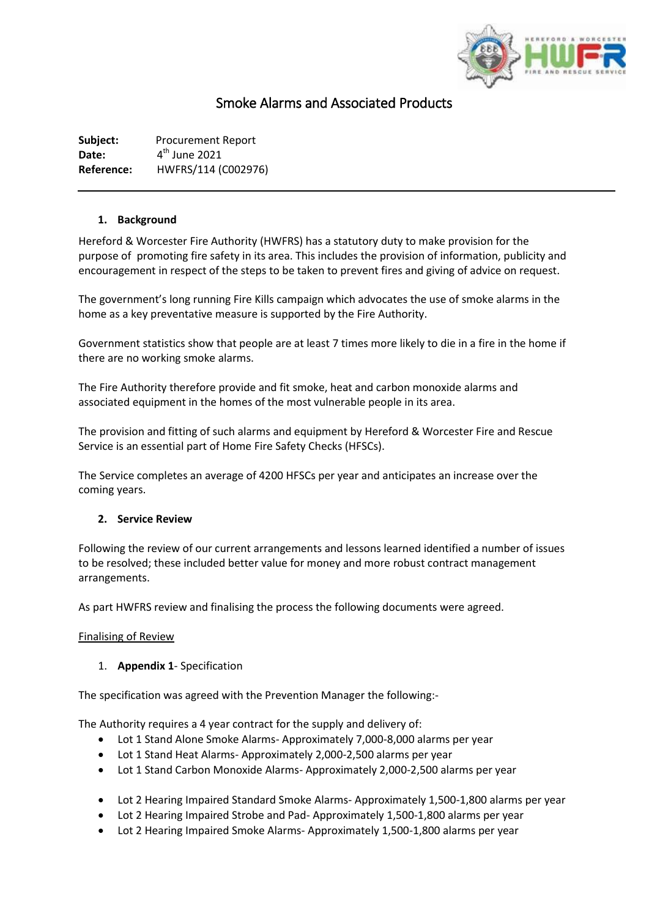

# Smoke Alarms and Associated Products

**Subject:** Procurement Report Date:  $4<sup>th</sup>$  June 2021 **Reference:** HWFRS/114 (C002976)

#### **1. Background**

Hereford & Worcester Fire Authority (HWFRS) has a statutory duty to make provision for the purpose of promoting fire safety in its area. This includes the provision of information, publicity and encouragement in respect of the steps to be taken to prevent fires and giving of advice on request.

The government's long running Fire Kills campaign which advocates the use of smoke alarms in the home as a key preventative measure is supported by the Fire Authority.

Government statistics show that people are at least 7 times more likely to die in a fire in the home if there are no working smoke alarms.

The Fire Authority therefore provide and fit smoke, heat and carbon monoxide alarms and associated equipment in the homes of the most vulnerable people in its area.

The provision and fitting of such alarms and equipment by Hereford & Worcester Fire and Rescue Service is an essential part of Home Fire Safety Checks (HFSCs).

The Service completes an average of 4200 HFSCs per year and anticipates an increase over the coming years.

#### **2. Service Review**

Following the review of our current arrangements and lessons learned identified a number of issues to be resolved; these included better value for money and more robust contract management arrangements.

As part HWFRS review and finalising the process the following documents were agreed.

#### Finalising of Review

# 1. **Appendix 1**- Specification

The specification was agreed with the Prevention Manager the following:-

The Authority requires a 4 year contract for the supply and delivery of:

- Lot 1 Stand Alone Smoke Alarms- Approximately 7,000-8,000 alarms per year
- Lot 1 Stand Heat Alarms- Approximately 2,000-2,500 alarms per year
- Lot 1 Stand Carbon Monoxide Alarms- Approximately 2,000-2,500 alarms per year
- Lot 2 Hearing Impaired Standard Smoke Alarms- Approximately 1,500-1,800 alarms per year
- Lot 2 Hearing Impaired Strobe and Pad- Approximately 1,500-1,800 alarms per year
- Lot 2 Hearing Impaired Smoke Alarms- Approximately 1,500-1,800 alarms per year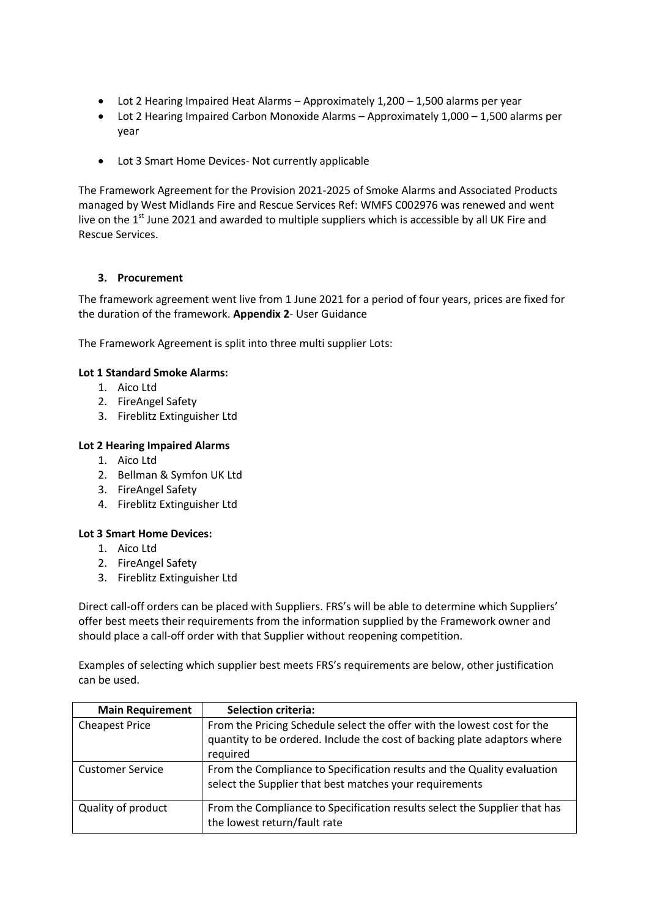- Lot 2 Hearing Impaired Heat Alarms Approximately 1,200 1,500 alarms per year
- Lot 2 Hearing Impaired Carbon Monoxide Alarms Approximately 1,000 1,500 alarms per year
- Lot 3 Smart Home Devices- Not currently applicable

The Framework Agreement for the Provision 2021-2025 of Smoke Alarms and Associated Products managed by West Midlands Fire and Rescue Services Ref: WMFS C002976 was renewed and went live on the  $1<sup>st</sup>$  June 2021 and awarded to multiple suppliers which is accessible by all UK Fire and Rescue Services.

## **3. Procurement**

The framework agreement went live from 1 June 2021 for a period of four years, prices are fixed for the duration of the framework. **Appendix 2**- User Guidance

The Framework Agreement is split into three multi supplier Lots:

#### **Lot 1 Standard Smoke Alarms:**

- 1. Aico Ltd
- 2. FireAngel Safety
- 3. Fireblitz Extinguisher Ltd

#### **Lot 2 Hearing Impaired Alarms**

- 1. Aico Ltd
- 2. Bellman & Symfon UK Ltd
- 3. FireAngel Safety
- 4. Fireblitz Extinguisher Ltd

#### **Lot 3 Smart Home Devices:**

- 1. Aico Ltd
- 2. FireAngel Safety
- 3. Fireblitz Extinguisher Ltd

Direct call-off orders can be placed with Suppliers. FRS's will be able to determine which Suppliers' offer best meets their requirements from the information supplied by the Framework owner and should place a call-off order with that Supplier without reopening competition.

Examples of selecting which supplier best meets FRS's requirements are below, other justification can be used.

| <b>Main Requirement</b> | <b>Selection criteria:</b>                                                                                                                                      |
|-------------------------|-----------------------------------------------------------------------------------------------------------------------------------------------------------------|
| <b>Cheapest Price</b>   | From the Pricing Schedule select the offer with the lowest cost for the<br>quantity to be ordered. Include the cost of backing plate adaptors where<br>required |
| <b>Customer Service</b> | From the Compliance to Specification results and the Quality evaluation<br>select the Supplier that best matches your requirements                              |
| Quality of product      | From the Compliance to Specification results select the Supplier that has<br>the lowest return/fault rate                                                       |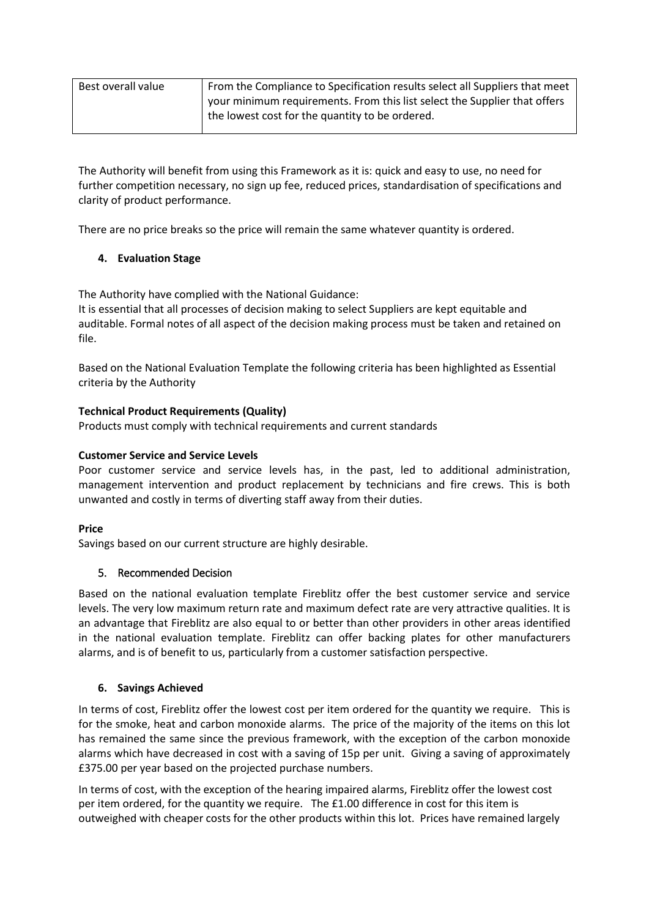| Best overall value | From the Compliance to Specification results select all Suppliers that meet |  |
|--------------------|-----------------------------------------------------------------------------|--|
|                    | your minimum requirements. From this list select the Supplier that offers   |  |
|                    | the lowest cost for the quantity to be ordered.                             |  |

The Authority will benefit from using this Framework as it is: quick and easy to use, no need for further competition necessary, no sign up fee, reduced prices, standardisation of specifications and clarity of product performance.

There are no price breaks so the price will remain the same whatever quantity is ordered.

# **4. Evaluation Stage**

The Authority have complied with the National Guidance:

It is essential that all processes of decision making to select Suppliers are kept equitable and auditable. Formal notes of all aspect of the decision making process must be taken and retained on file.

Based on the National Evaluation Template the following criteria has been highlighted as Essential criteria by the Authority

# **Technical Product Requirements (Quality)**

Products must comply with technical requirements and current standards

## **Customer Service and Service Levels**

Poor customer service and service levels has, in the past, led to additional administration, management intervention and product replacement by technicians and fire crews. This is both unwanted and costly in terms of diverting staff away from their duties.

# **Price**

Savings based on our current structure are highly desirable.

# 5. Recommended Decision

Based on the national evaluation template Fireblitz offer the best customer service and service levels. The very low maximum return rate and maximum defect rate are very attractive qualities. It is an advantage that Fireblitz are also equal to or better than other providers in other areas identified in the national evaluation template. Fireblitz can offer backing plates for other manufacturers alarms, and is of benefit to us, particularly from a customer satisfaction perspective.

# **6. Savings Achieved**

In terms of cost, Fireblitz offer the lowest cost per item ordered for the quantity we require. This is for the smoke, heat and carbon monoxide alarms. The price of the majority of the items on this lot has remained the same since the previous framework, with the exception of the carbon monoxide alarms which have decreased in cost with a saving of 15p per unit. Giving a saving of approximately £375.00 per year based on the projected purchase numbers.

In terms of cost, with the exception of the hearing impaired alarms, Fireblitz offer the lowest cost per item ordered, for the quantity we require. The £1.00 difference in cost for this item is outweighed with cheaper costs for the other products within this lot. Prices have remained largely